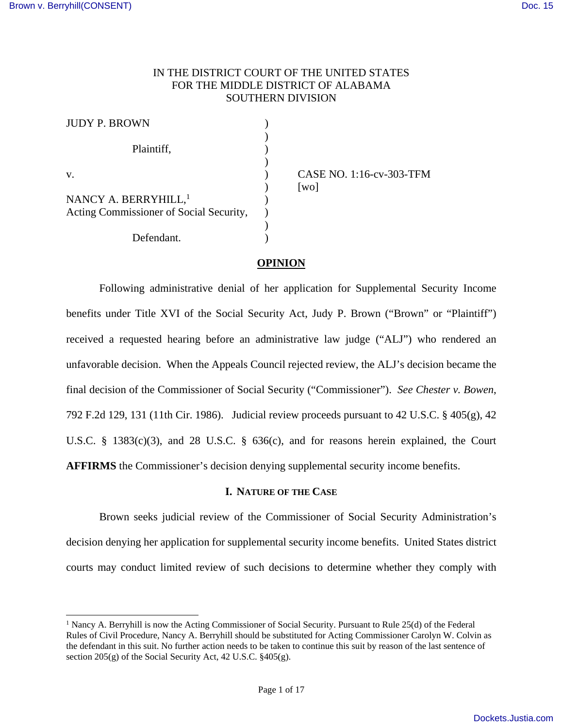-

## IN THE DISTRICT COURT OF THE UNITED STATES FOR THE MIDDLE DISTRICT OF ALABAMA SOUTHERN DIVISION

| <b>JUDY P. BROWN</b>                                                        |  |
|-----------------------------------------------------------------------------|--|
| Plaintiff,                                                                  |  |
| $V_{\cdot}$                                                                 |  |
| NANCY A. BERRYHILL, <sup>1</sup><br>Acting Commissioner of Social Security, |  |
| Defendant.                                                                  |  |

CASE NO. 1:16-cv-303-TFM  $\lceil$ wo $\rceil$ 

## **OPINION**

Following administrative denial of her application for Supplemental Security Income benefits under Title XVI of the Social Security Act, Judy P. Brown ("Brown" or "Plaintiff") received a requested hearing before an administrative law judge ("ALJ") who rendered an unfavorable decision. When the Appeals Council rejected review, the ALJ's decision became the final decision of the Commissioner of Social Security ("Commissioner"). *See Chester v. Bowen*, 792 F.2d 129, 131 (11th Cir. 1986). Judicial review proceeds pursuant to 42 U.S.C. § 405(g), 42 U.S.C. § 1383(c)(3), and 28 U.S.C. § 636(c), and for reasons herein explained, the Court **AFFIRMS** the Commissioner's decision denying supplemental security income benefits.

### **I. NATURE OF THE CASE**

 Brown seeks judicial review of the Commissioner of Social Security Administration's decision denying her application for supplemental security income benefits. United States district courts may conduct limited review of such decisions to determine whether they comply with

<sup>&</sup>lt;sup>1</sup> Nancy A. Berryhill is now the Acting Commissioner of Social Security. Pursuant to Rule 25(d) of the Federal Rules of Civil Procedure, Nancy A. Berryhill should be substituted for Acting Commissioner Carolyn W. Colvin as the defendant in this suit. No further action needs to be taken to continue this suit by reason of the last sentence of section 205(g) of the Social Security Act, 42 U.S.C. §405(g).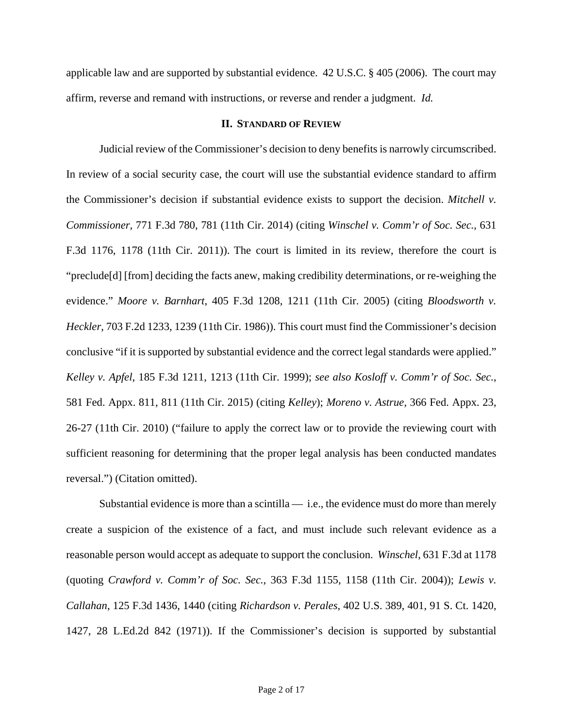applicable law and are supported by substantial evidence. 42 U.S.C. § 405 (2006). The court may affirm, reverse and remand with instructions, or reverse and render a judgment. *Id.* 

### **II. STANDARD OF REVIEW**

 Judicial review of the Commissioner's decision to deny benefits is narrowly circumscribed. In review of a social security case, the court will use the substantial evidence standard to affirm the Commissioner's decision if substantial evidence exists to support the decision. *Mitchell v. Commissioner,* 771 F.3d 780, 781 (11th Cir. 2014) (citing *Winschel v. Comm'r of Soc. Sec.*, 631 F.3d 1176, 1178 (11th Cir. 2011)). The court is limited in its review, therefore the court is "preclude[d] [from] deciding the facts anew, making credibility determinations, or re-weighing the evidence." *Moore v. Barnhart*, 405 F.3d 1208, 1211 (11th Cir. 2005) (citing *Bloodsworth v. Heckler*, 703 F.2d 1233, 1239 (11th Cir. 1986)). This court must find the Commissioner's decision conclusive "if it is supported by substantial evidence and the correct legal standards were applied." *Kelley v. Apfel*, 185 F.3d 1211, 1213 (11th Cir. 1999); *see also Kosloff v. Comm'r of Soc. Sec.*, 581 Fed. Appx. 811, 811 (11th Cir. 2015) (citing *Kelley*); *Moreno v. Astrue,* 366 Fed. Appx. 23, 26-27 (11th Cir. 2010) ("failure to apply the correct law or to provide the reviewing court with sufficient reasoning for determining that the proper legal analysis has been conducted mandates reversal.") (Citation omitted).

Substantial evidence is more than a scintilla  $-$  i.e., the evidence must do more than merely create a suspicion of the existence of a fact, and must include such relevant evidence as a reasonable person would accept as adequate to support the conclusion. *Winschel*, 631 F.3d at 1178 (quoting *Crawford v. Comm'r of Soc. Sec.*, 363 F.3d 1155, 1158 (11th Cir. 2004)); *Lewis v. Callahan*, 125 F.3d 1436, 1440 (citing *Richardson v. Perales*, 402 U.S. 389, 401, 91 S. Ct. 1420, 1427, 28 L.Ed.2d 842 (1971)). If the Commissioner's decision is supported by substantial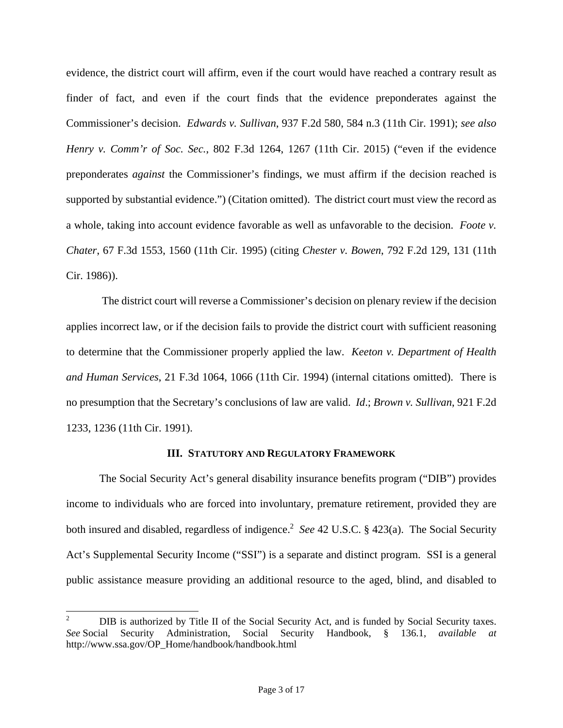evidence, the district court will affirm, even if the court would have reached a contrary result as finder of fact, and even if the court finds that the evidence preponderates against the Commissioner's decision. *Edwards v. Sullivan*, 937 F.2d 580, 584 n.3 (11th Cir. 1991); *see also Henry v. Comm'r of Soc. Sec.*, 802 F.3d 1264, 1267 (11th Cir. 2015) ("even if the evidence preponderates *against* the Commissioner's findings, we must affirm if the decision reached is supported by substantial evidence.") (Citation omitted). The district court must view the record as a whole, taking into account evidence favorable as well as unfavorable to the decision. *Foote v. Chater*, 67 F.3d 1553, 1560 (11th Cir. 1995) (citing *Chester v. Bowen*, 792 F.2d 129, 131 (11th Cir. 1986)).

 The district court will reverse a Commissioner's decision on plenary review if the decision applies incorrect law, or if the decision fails to provide the district court with sufficient reasoning to determine that the Commissioner properly applied the law. *Keeton v. Department of Health and Human Services*, 21 F.3d 1064, 1066 (11th Cir. 1994) (internal citations omitted). There is no presumption that the Secretary's conclusions of law are valid. *Id*.; *Brown v. Sullivan*, 921 F.2d 1233, 1236 (11th Cir. 1991).

### **III. STATUTORY AND REGULATORY FRAMEWORK**

The Social Security Act's general disability insurance benefits program ("DIB") provides income to individuals who are forced into involuntary, premature retirement, provided they are both insured and disabled, regardless of indigence.<sup>2</sup> See 42 U.S.C. § 423(a). The Social Security Act's Supplemental Security Income ("SSI") is a separate and distinct program. SSI is a general public assistance measure providing an additional resource to the aged, blind, and disabled to

1

<sup>2</sup> DIB is authorized by Title II of the Social Security Act, and is funded by Social Security taxes.<br>
ial Security Administration. Social Security Handbook. § 136.1. *available at See* Social Security Administration, Social Security Handbook, § 136.1, *available at* http://www.ssa.gov/OP\_Home/handbook/handbook.html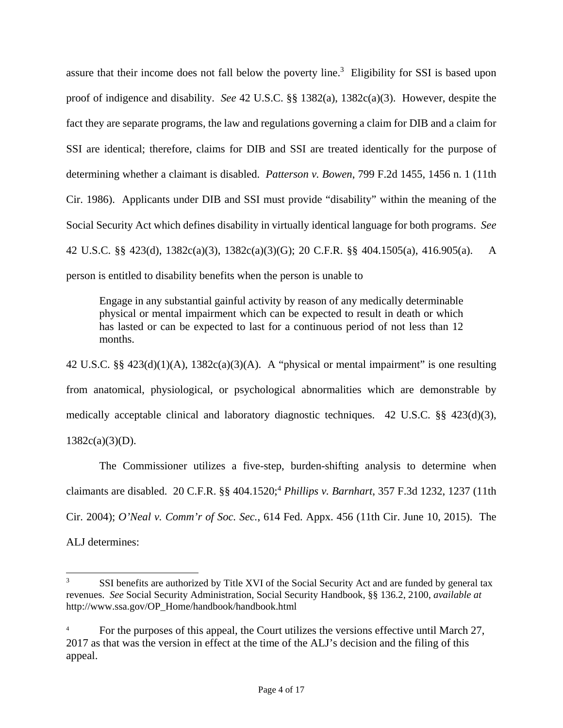assure that their income does not fall below the poverty line.<sup>3</sup> Eligibility for SSI is based upon proof of indigence and disability. *See* 42 U.S.C. §§ 1382(a), 1382c(a)(3). However, despite the fact they are separate programs, the law and regulations governing a claim for DIB and a claim for SSI are identical; therefore, claims for DIB and SSI are treated identically for the purpose of determining whether a claimant is disabled. *Patterson v. Bowen*, 799 F.2d 1455, 1456 n. 1 (11th Cir. 1986). Applicants under DIB and SSI must provide "disability" within the meaning of the Social Security Act which defines disability in virtually identical language for both programs. *See* 42 U.S.C. §§ 423(d), 1382c(a)(3), 1382c(a)(3)(G); 20 C.F.R. §§ 404.1505(a), 416.905(a). A person is entitled to disability benefits when the person is unable to

Engage in any substantial gainful activity by reason of any medically determinable physical or mental impairment which can be expected to result in death or which has lasted or can be expected to last for a continuous period of not less than 12 months.

42 U.S.C. §§ 423(d)(1)(A), 1382c(a)(3)(A). A "physical or mental impairment" is one resulting from anatomical, physiological, or psychological abnormalities which are demonstrable by medically acceptable clinical and laboratory diagnostic techniques. 42 U.S.C. §§ 423(d)(3),  $1382c(a)(3)(D)$ .

The Commissioner utilizes a five-step, burden-shifting analysis to determine when claimants are disabled. 20 C.F.R. §§ 404.1520;<sup>4</sup> *Phillips v. Barnhart*, 357 F.3d 1232, 1237 (11th Cir. 2004); *O'Neal v. Comm'r of Soc. Sec.*, 614 Fed. Appx. 456 (11th Cir. June 10, 2015). The ALJ determines:

 $\frac{1}{3}$  SSI benefits are authorized by Title XVI of the Social Security Act and are funded by general tax revenues. *See* Social Security Administration, Social Security Handbook, §§ 136.2, 2100, *available at* http://www.ssa.gov/OP\_Home/handbook/handbook.html

<sup>4</sup> For the purposes of this appeal, the Court utilizes the versions effective until March 27, 2017 as that was the version in effect at the time of the ALJ's decision and the filing of this appeal.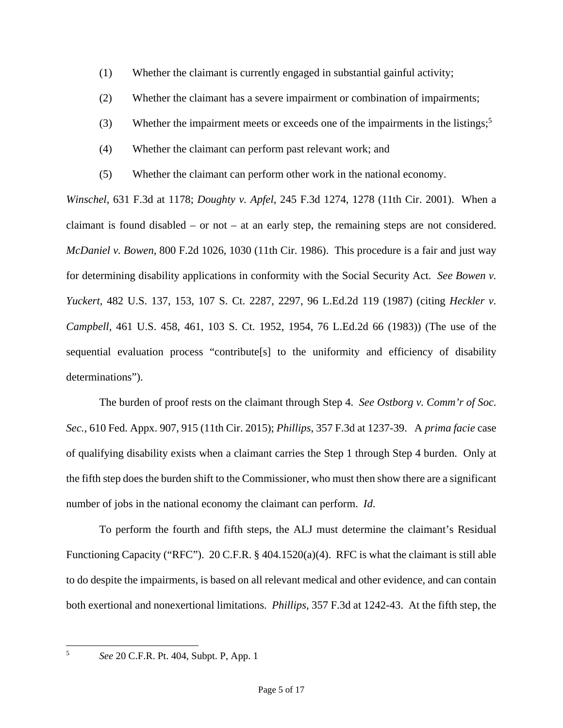- (1) Whether the claimant is currently engaged in substantial gainful activity;
- (2) Whether the claimant has a severe impairment or combination of impairments;
- (3) Whether the impairment meets or exceeds one of the impairments in the listings;<sup>5</sup>
- (4) Whether the claimant can perform past relevant work; and
- (5) Whether the claimant can perform other work in the national economy.

*Winschel*, 631 F.3d at 1178; *Doughty v. Apfel*, 245 F.3d 1274, 1278 (11th Cir. 2001). When a claimant is found disabled – or not – at an early step, the remaining steps are not considered. *McDaniel v. Bowen*, 800 F.2d 1026, 1030 (11th Cir. 1986). This procedure is a fair and just way for determining disability applications in conformity with the Social Security Act. *See Bowen v. Yuckert*, 482 U.S. 137, 153, 107 S. Ct. 2287, 2297, 96 L.Ed.2d 119 (1987) (citing *Heckler v. Campbell*, 461 U.S. 458, 461, 103 S. Ct. 1952, 1954, 76 L.Ed.2d 66 (1983)) (The use of the sequential evaluation process "contribute[s] to the uniformity and efficiency of disability determinations").

 The burden of proof rests on the claimant through Step 4. *See Ostborg v. Comm'r of Soc. Sec.*, 610 Fed. Appx. 907, 915 (11th Cir. 2015); *Phillips*, 357 F.3d at 1237-39. A *prima facie* case of qualifying disability exists when a claimant carries the Step 1 through Step 4 burden. Only at the fifth step does the burden shift to the Commissioner, who must then show there are a significant number of jobs in the national economy the claimant can perform. *Id*.

 To perform the fourth and fifth steps, the ALJ must determine the claimant's Residual Functioning Capacity ("RFC"). 20 C.F.R. § 404.1520(a)(4). RFC is what the claimant is still able to do despite the impairments, is based on all relevant medical and other evidence, and can contain both exertional and nonexertional limitations. *Phillips*, 357 F.3d at 1242-43. At the fifth step, the

5

*See* 20 C.F.R. Pt. 404, Subpt. P, App. 1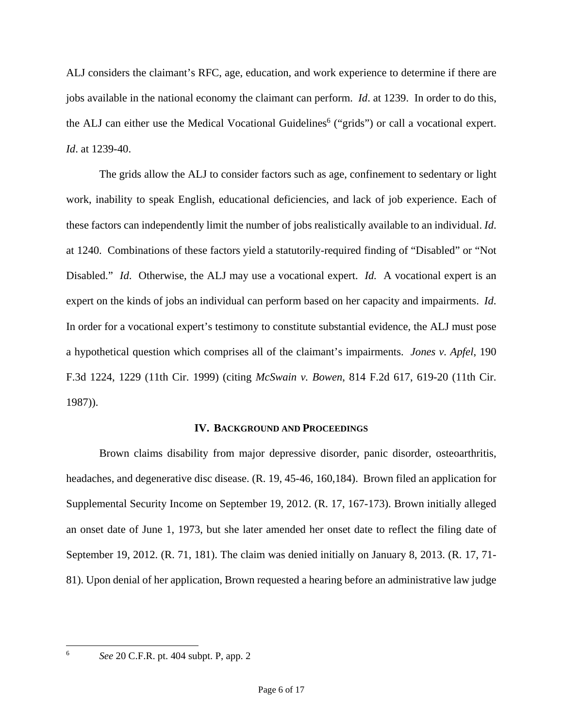ALJ considers the claimant's RFC, age, education, and work experience to determine if there are jobs available in the national economy the claimant can perform. *Id*. at 1239. In order to do this, the ALJ can either use the Medical Vocational Guidelines<sup>6</sup> ("grids") or call a vocational expert. *Id*. at 1239-40.

 The grids allow the ALJ to consider factors such as age, confinement to sedentary or light work, inability to speak English, educational deficiencies, and lack of job experience. Each of these factors can independently limit the number of jobs realistically available to an individual. *Id*. at 1240. Combinations of these factors yield a statutorily-required finding of "Disabled" or "Not Disabled." *Id*. Otherwise, the ALJ may use a vocational expert. *Id.* A vocational expert is an expert on the kinds of jobs an individual can perform based on her capacity and impairments. *Id*. In order for a vocational expert's testimony to constitute substantial evidence, the ALJ must pose a hypothetical question which comprises all of the claimant's impairments. *Jones v. Apfel*, 190 F.3d 1224, 1229 (11th Cir. 1999) (citing *McSwain v. Bowen*, 814 F.2d 617, 619-20 (11th Cir. 1987)).

## **IV. BACKGROUND AND PROCEEDINGS**

 Brown claims disability from major depressive disorder, panic disorder, osteoarthritis, headaches, and degenerative disc disease. (R. 19, 45-46, 160,184). Brown filed an application for Supplemental Security Income on September 19, 2012. (R. 17, 167-173). Brown initially alleged an onset date of June 1, 1973, but she later amended her onset date to reflect the filing date of September 19, 2012. (R. 71, 181). The claim was denied initially on January 8, 2013. (R. 17, 71- 81). Upon denial of her application, Brown requested a hearing before an administrative law judge

6

*See* 20 C.F.R. pt. 404 subpt. P, app. 2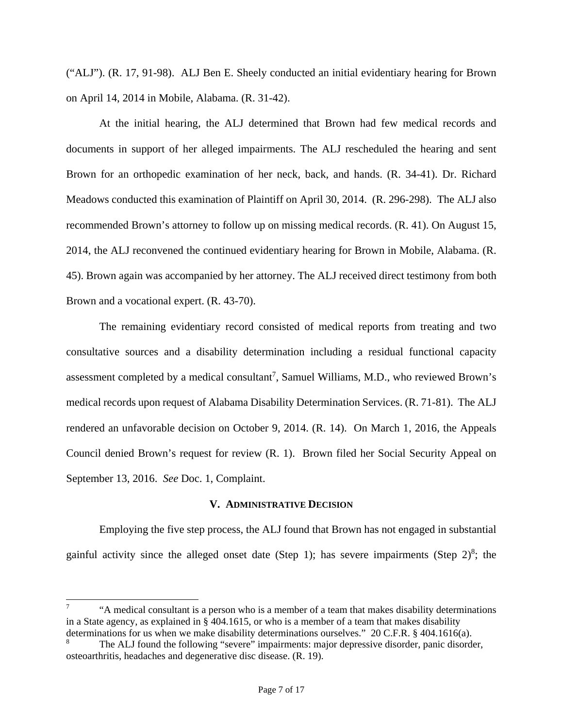("ALJ"). (R. 17, 91-98). ALJ Ben E. Sheely conducted an initial evidentiary hearing for Brown on April 14, 2014 in Mobile, Alabama. (R. 31-42).

At the initial hearing, the ALJ determined that Brown had few medical records and documents in support of her alleged impairments. The ALJ rescheduled the hearing and sent Brown for an orthopedic examination of her neck, back, and hands. (R. 34-41). Dr. Richard Meadows conducted this examination of Plaintiff on April 30, 2014. (R. 296-298). The ALJ also recommended Brown's attorney to follow up on missing medical records. (R. 41). On August 15, 2014, the ALJ reconvened the continued evidentiary hearing for Brown in Mobile, Alabama. (R. 45). Brown again was accompanied by her attorney. The ALJ received direct testimony from both Brown and a vocational expert. (R. 43-70).

The remaining evidentiary record consisted of medical reports from treating and two consultative sources and a disability determination including a residual functional capacity assessment completed by a medical consultant<sup>7</sup>, Samuel Williams, M.D., who reviewed Brown's medical records upon request of Alabama Disability Determination Services. (R. 71-81). The ALJ rendered an unfavorable decision on October 9, 2014. (R. 14). On March 1, 2016, the Appeals Council denied Brown's request for review (R. 1). Brown filed her Social Security Appeal on September 13, 2016. *See* Doc. 1, Complaint.

### **V. ADMINISTRATIVE DECISION**

 Employing the five step process, the ALJ found that Brown has not engaged in substantial gainful activity since the alleged onset date (Step 1); has severe impairments (Step  $2)^8$ ; the

 $\overline{a}$ 

<sup>7</sup> "A medical consultant is a person who is a member of a team that makes disability determinations in a State agency, as explained in § 404.1615, or who is a member of a team that makes disability determinations for us when we make disability determinations ourselves." 20 C.F.R. § 404.1616(a).

<sup>8</sup> The ALJ found the following "severe" impairments: major depressive disorder, panic disorder, osteoarthritis, headaches and degenerative disc disease. (R. 19).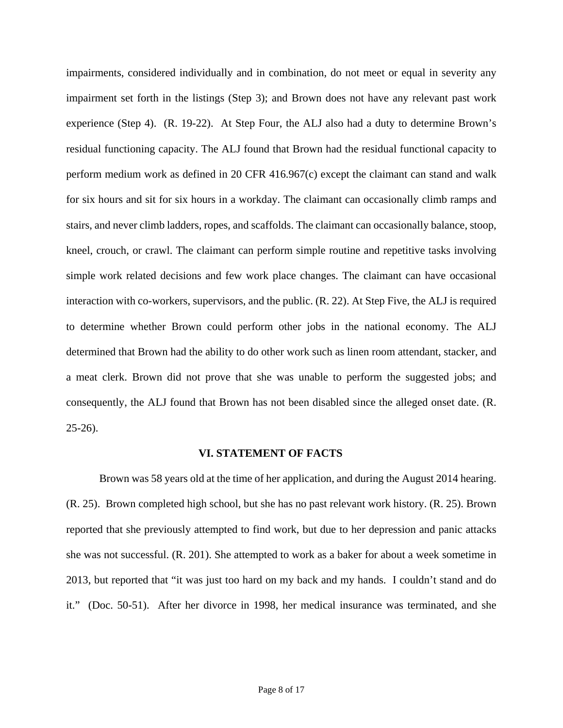impairments, considered individually and in combination, do not meet or equal in severity any impairment set forth in the listings (Step 3); and Brown does not have any relevant past work experience (Step 4). (R. 19-22). At Step Four, the ALJ also had a duty to determine Brown's residual functioning capacity. The ALJ found that Brown had the residual functional capacity to perform medium work as defined in 20 CFR 416.967(c) except the claimant can stand and walk for six hours and sit for six hours in a workday. The claimant can occasionally climb ramps and stairs, and never climb ladders, ropes, and scaffolds. The claimant can occasionally balance, stoop, kneel, crouch, or crawl. The claimant can perform simple routine and repetitive tasks involving simple work related decisions and few work place changes. The claimant can have occasional interaction with co-workers, supervisors, and the public. (R. 22). At Step Five, the ALJ is required to determine whether Brown could perform other jobs in the national economy. The ALJ determined that Brown had the ability to do other work such as linen room attendant, stacker, and a meat clerk. Brown did not prove that she was unable to perform the suggested jobs; and consequently, the ALJ found that Brown has not been disabled since the alleged onset date. (R. 25-26).

#### **VI. STATEMENT OF FACTS**

Brown was 58 years old at the time of her application, and during the August 2014 hearing. (R. 25). Brown completed high school, but she has no past relevant work history. (R. 25). Brown reported that she previously attempted to find work, but due to her depression and panic attacks she was not successful. (R. 201). She attempted to work as a baker for about a week sometime in 2013, but reported that "it was just too hard on my back and my hands. I couldn't stand and do it." (Doc. 50-51). After her divorce in 1998, her medical insurance was terminated, and she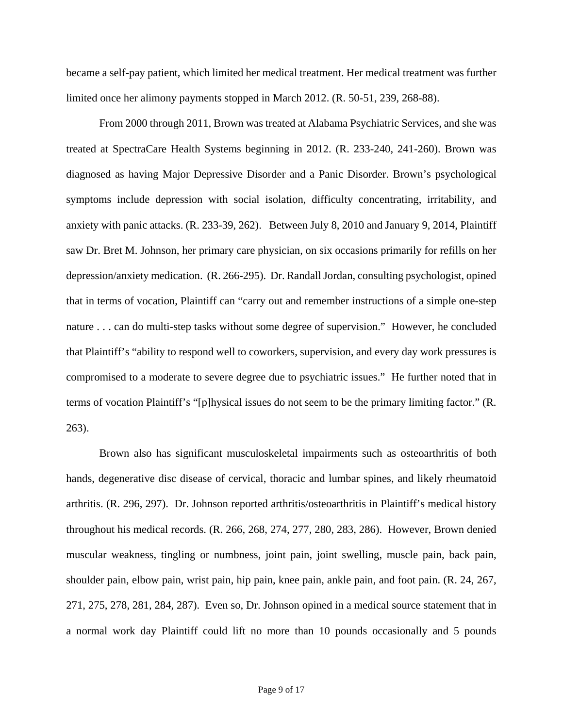became a self-pay patient, which limited her medical treatment. Her medical treatment was further limited once her alimony payments stopped in March 2012. (R. 50-51, 239, 268-88).

 From 2000 through 2011, Brown was treated at Alabama Psychiatric Services, and she was treated at SpectraCare Health Systems beginning in 2012. (R. 233-240, 241-260). Brown was diagnosed as having Major Depressive Disorder and a Panic Disorder. Brown's psychological symptoms include depression with social isolation, difficulty concentrating, irritability, and anxiety with panic attacks. (R. 233-39, 262). Between July 8, 2010 and January 9, 2014, Plaintiff saw Dr. Bret M. Johnson, her primary care physician, on six occasions primarily for refills on her depression/anxiety medication. (R. 266-295). Dr. Randall Jordan, consulting psychologist, opined that in terms of vocation, Plaintiff can "carry out and remember instructions of a simple one-step nature . . . can do multi-step tasks without some degree of supervision." However, he concluded that Plaintiff's "ability to respond well to coworkers, supervision, and every day work pressures is compromised to a moderate to severe degree due to psychiatric issues." He further noted that in terms of vocation Plaintiff's "[p]hysical issues do not seem to be the primary limiting factor." (R. 263).

Brown also has significant musculoskeletal impairments such as osteoarthritis of both hands, degenerative disc disease of cervical, thoracic and lumbar spines, and likely rheumatoid arthritis. (R. 296, 297). Dr. Johnson reported arthritis/osteoarthritis in Plaintiff's medical history throughout his medical records. (R. 266, 268, 274, 277, 280, 283, 286). However, Brown denied muscular weakness, tingling or numbness, joint pain, joint swelling, muscle pain, back pain, shoulder pain, elbow pain, wrist pain, hip pain, knee pain, ankle pain, and foot pain. (R. 24, 267, 271, 275, 278, 281, 284, 287). Even so, Dr. Johnson opined in a medical source statement that in a normal work day Plaintiff could lift no more than 10 pounds occasionally and 5 pounds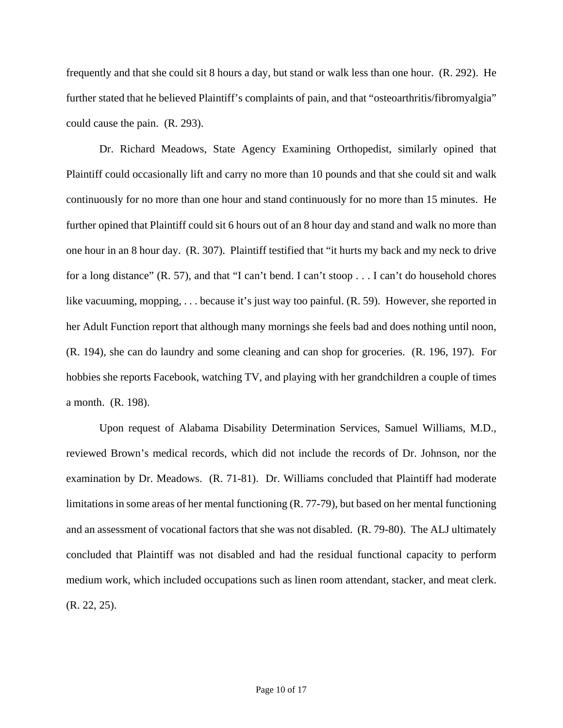frequently and that she could sit 8 hours a day, but stand or walk less than one hour. (R. 292). He further stated that he believed Plaintiff's complaints of pain, and that "osteoarthritis/fibromyalgia" could cause the pain. (R. 293).

Dr. Richard Meadows, State Agency Examining Orthopedist, similarly opined that Plaintiff could occasionally lift and carry no more than 10 pounds and that she could sit and walk continuously for no more than one hour and stand continuously for no more than 15 minutes. He further opined that Plaintiff could sit 6 hours out of an 8 hour day and stand and walk no more than one hour in an 8 hour day. (R. 307). Plaintiff testified that "it hurts my back and my neck to drive for a long distance" (R. 57), and that "I can't bend. I can't stoop . . . I can't do household chores like vacuuming, mopping, ... because it's just way too painful. (R. 59). However, she reported in her Adult Function report that although many mornings she feels bad and does nothing until noon, (R. 194), she can do laundry and some cleaning and can shop for groceries. (R. 196, 197). For hobbies she reports Facebook, watching TV, and playing with her grandchildren a couple of times a month. (R. 198).

Upon request of Alabama Disability Determination Services, Samuel Williams, M.D., reviewed Brown's medical records, which did not include the records of Dr. Johnson, nor the examination by Dr. Meadows. (R. 71-81). Dr. Williams concluded that Plaintiff had moderate limitations in some areas of her mental functioning (R. 77-79), but based on her mental functioning and an assessment of vocational factors that she was not disabled. (R. 79-80). The ALJ ultimately concluded that Plaintiff was not disabled and had the residual functional capacity to perform medium work, which included occupations such as linen room attendant, stacker, and meat clerk. (R. 22, 25).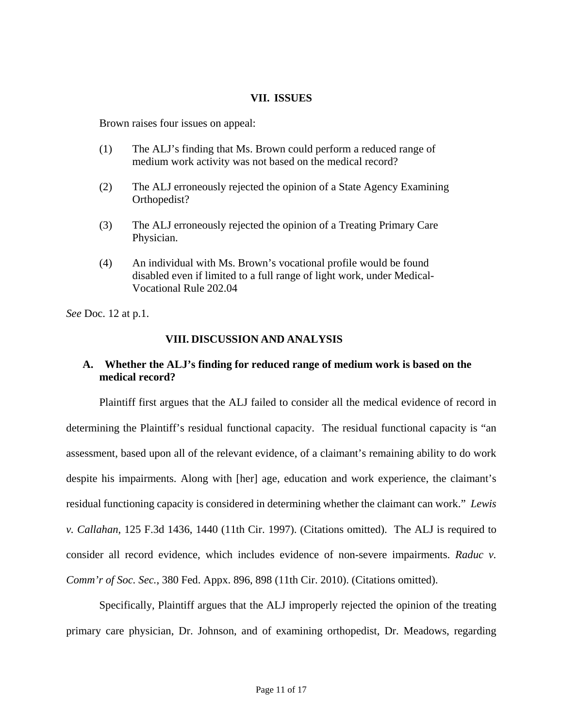### **VII. ISSUES**

Brown raises four issues on appeal:

- (1) The ALJ's finding that Ms. Brown could perform a reduced range of medium work activity was not based on the medical record?
- (2) The ALJ erroneously rejected the opinion of a State Agency Examining Orthopedist?
- (3) The ALJ erroneously rejected the opinion of a Treating Primary Care Physician.
- (4) An individual with Ms. Brown's vocational profile would be found disabled even if limited to a full range of light work, under Medical-Vocational Rule 202.04

*See* Doc. 12 at p.1.

## **VIII. DISCUSSION AND ANALYSIS**

## **A. Whether the ALJ's finding for reduced range of medium work is based on the medical record?**

Plaintiff first argues that the ALJ failed to consider all the medical evidence of record in determining the Plaintiff's residual functional capacity. The residual functional capacity is "an assessment, based upon all of the relevant evidence, of a claimant's remaining ability to do work despite his impairments. Along with [her] age, education and work experience, the claimant's residual functioning capacity is considered in determining whether the claimant can work." *Lewis v. Callahan*, 125 F.3d 1436, 1440 (11th Cir. 1997). (Citations omitted). The ALJ is required to consider all record evidence, which includes evidence of non-severe impairments. *Raduc v. Comm'r of Soc. Sec.*, 380 Fed. Appx. 896, 898 (11th Cir. 2010). (Citations omitted).

Specifically, Plaintiff argues that the ALJ improperly rejected the opinion of the treating primary care physician, Dr. Johnson, and of examining orthopedist, Dr. Meadows, regarding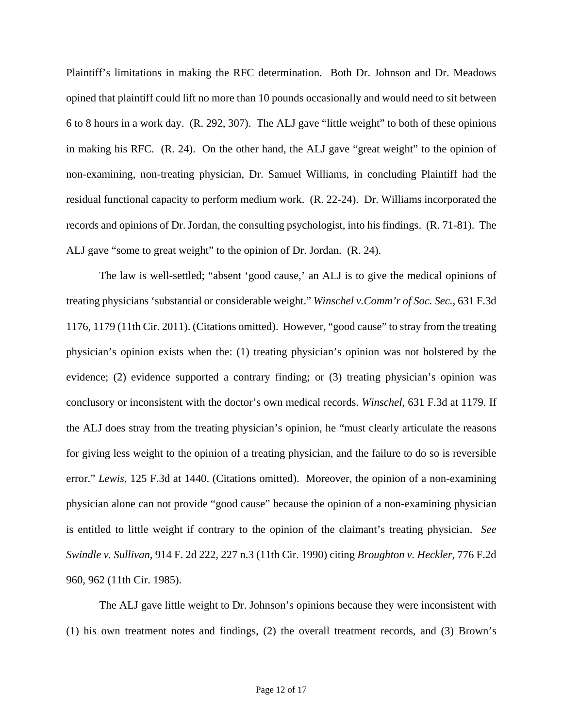Plaintiff's limitations in making the RFC determination. Both Dr. Johnson and Dr. Meadows opined that plaintiff could lift no more than 10 pounds occasionally and would need to sit between 6 to 8 hours in a work day. (R. 292, 307). The ALJ gave "little weight" to both of these opinions in making his RFC. (R. 24). On the other hand, the ALJ gave "great weight" to the opinion of non-examining, non-treating physician, Dr. Samuel Williams, in concluding Plaintiff had the residual functional capacity to perform medium work. (R. 22-24). Dr. Williams incorporated the records and opinions of Dr. Jordan, the consulting psychologist, into his findings. (R. 71-81). The ALJ gave "some to great weight" to the opinion of Dr. Jordan. (R. 24).

The law is well-settled; "absent 'good cause,' an ALJ is to give the medical opinions of treating physicians 'substantial or considerable weight." *Winschel v.Comm'r of Soc. Sec.,* 631 F.3d 1176, 1179 (11th Cir. 2011). (Citations omitted). However, "good cause" to stray from the treating physician's opinion exists when the: (1) treating physician's opinion was not bolstered by the evidence; (2) evidence supported a contrary finding; or (3) treating physician's opinion was conclusory or inconsistent with the doctor's own medical records. *Winschel,* 631 F.3d at 1179. If the ALJ does stray from the treating physician's opinion, he "must clearly articulate the reasons for giving less weight to the opinion of a treating physician, and the failure to do so is reversible error." *Lewis*, 125 F.3d at 1440. (Citations omitted). Moreover, the opinion of a non-examining physician alone can not provide "good cause" because the opinion of a non-examining physician is entitled to little weight if contrary to the opinion of the claimant's treating physician. *See Swindle v. Sullivan,* 914 F. 2d 222, 227 n.3 (11th Cir. 1990) citing *Broughton v. Heckler,* 776 F.2d 960, 962 (11th Cir. 1985).

The ALJ gave little weight to Dr. Johnson's opinions because they were inconsistent with (1) his own treatment notes and findings, (2) the overall treatment records, and (3) Brown's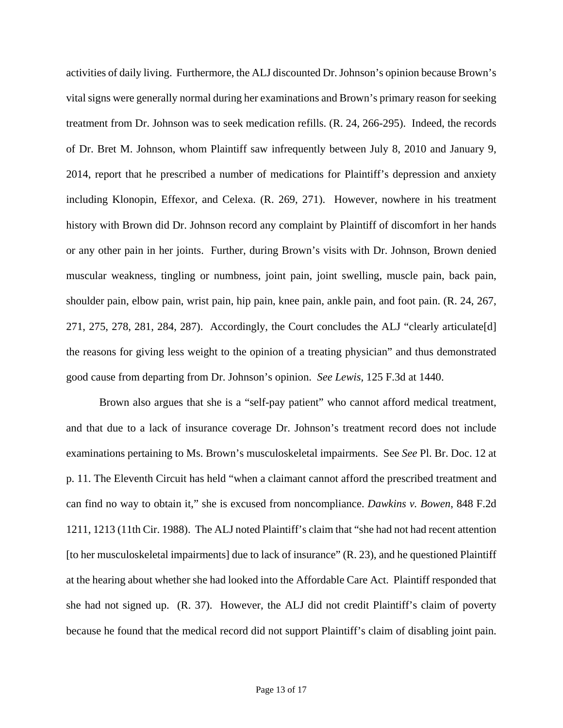activities of daily living. Furthermore, the ALJ discounted Dr. Johnson's opinion because Brown's vital signs were generally normal during her examinations and Brown's primary reason for seeking treatment from Dr. Johnson was to seek medication refills. (R. 24, 266-295). Indeed, the records of Dr. Bret M. Johnson, whom Plaintiff saw infrequently between July 8, 2010 and January 9, 2014, report that he prescribed a number of medications for Plaintiff's depression and anxiety including Klonopin, Effexor, and Celexa. (R. 269, 271). However, nowhere in his treatment history with Brown did Dr. Johnson record any complaint by Plaintiff of discomfort in her hands or any other pain in her joints. Further, during Brown's visits with Dr. Johnson, Brown denied muscular weakness, tingling or numbness, joint pain, joint swelling, muscle pain, back pain, shoulder pain, elbow pain, wrist pain, hip pain, knee pain, ankle pain, and foot pain. (R. 24, 267, 271, 275, 278, 281, 284, 287). Accordingly, the Court concludes the ALJ "clearly articulate[d] the reasons for giving less weight to the opinion of a treating physician" and thus demonstrated good cause from departing from Dr. Johnson's opinion. *See Lewis,* 125 F.3d at 1440.

Brown also argues that she is a "self-pay patient" who cannot afford medical treatment, and that due to a lack of insurance coverage Dr. Johnson's treatment record does not include examinations pertaining to Ms. Brown's musculoskeletal impairments. See *See* Pl. Br. Doc. 12 at p. 11. The Eleventh Circuit has held "when a claimant cannot afford the prescribed treatment and can find no way to obtain it," she is excused from noncompliance. *Dawkins v. Bowen*, 848 F.2d 1211, 1213 (11th Cir. 1988). The ALJ noted Plaintiff's claim that "she had not had recent attention [to her musculoskeletal impairments] due to lack of insurance" (R. 23), and he questioned Plaintiff at the hearing about whether she had looked into the Affordable Care Act. Plaintiff responded that she had not signed up. (R. 37). However, the ALJ did not credit Plaintiff's claim of poverty because he found that the medical record did not support Plaintiff's claim of disabling joint pain.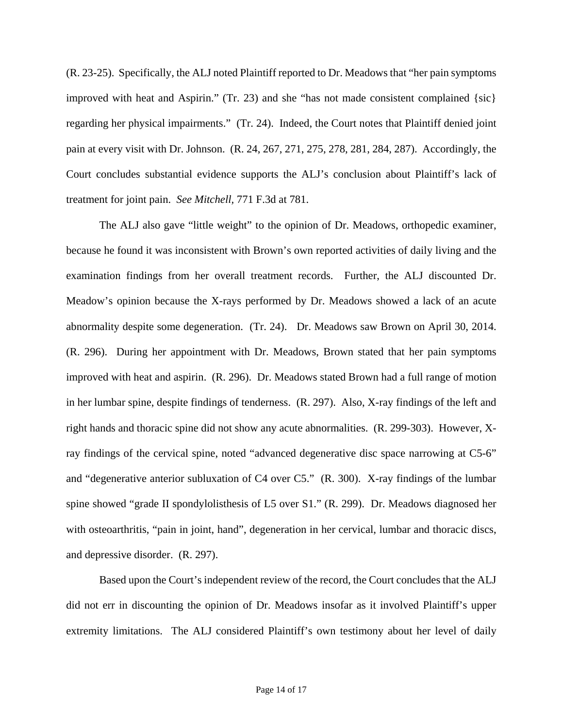(R. 23-25). Specifically, the ALJ noted Plaintiff reported to Dr. Meadows that "her pain symptoms improved with heat and Aspirin." (Tr. 23) and she "has not made consistent complained  $\{sic\}$ regarding her physical impairments." (Tr. 24). Indeed, the Court notes that Plaintiff denied joint pain at every visit with Dr. Johnson. (R. 24, 267, 271, 275, 278, 281, 284, 287). Accordingly, the Court concludes substantial evidence supports the ALJ's conclusion about Plaintiff's lack of treatment for joint pain. *See Mitchell,* 771 F.3d at 781.

The ALJ also gave "little weight" to the opinion of Dr. Meadows, orthopedic examiner, because he found it was inconsistent with Brown's own reported activities of daily living and the examination findings from her overall treatment records. Further, the ALJ discounted Dr. Meadow's opinion because the X-rays performed by Dr. Meadows showed a lack of an acute abnormality despite some degeneration. (Tr. 24). Dr. Meadows saw Brown on April 30, 2014. (R. 296). During her appointment with Dr. Meadows, Brown stated that her pain symptoms improved with heat and aspirin. (R. 296). Dr. Meadows stated Brown had a full range of motion in her lumbar spine, despite findings of tenderness. (R. 297). Also, X-ray findings of the left and right hands and thoracic spine did not show any acute abnormalities. (R. 299-303). However, Xray findings of the cervical spine, noted "advanced degenerative disc space narrowing at C5-6" and "degenerative anterior subluxation of C4 over C5." (R. 300). X-ray findings of the lumbar spine showed "grade II spondylolisthesis of L5 over S1." (R. 299). Dr. Meadows diagnosed her with osteoarthritis, "pain in joint, hand", degeneration in her cervical, lumbar and thoracic discs, and depressive disorder. (R. 297).

Based upon the Court's independent review of the record, the Court concludes that the ALJ did not err in discounting the opinion of Dr. Meadows insofar as it involved Plaintiff's upper extremity limitations. The ALJ considered Plaintiff's own testimony about her level of daily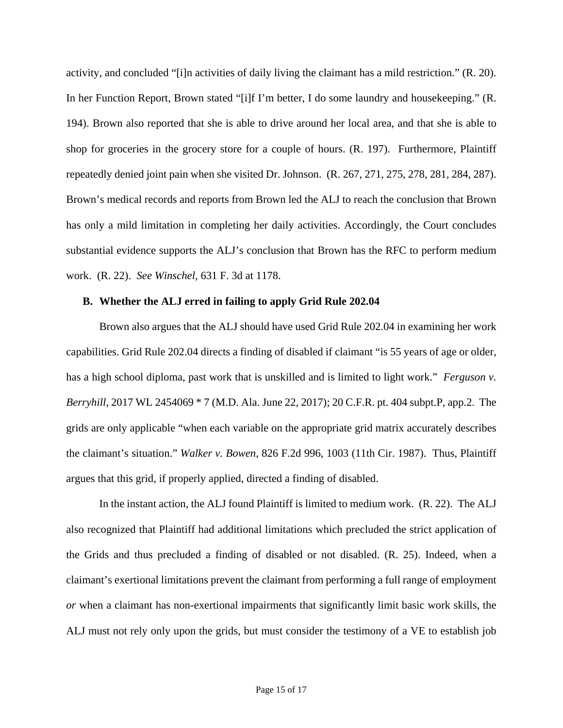activity, and concluded "[i]n activities of daily living the claimant has a mild restriction." (R. 20). In her Function Report, Brown stated "[i]f I'm better, I do some laundry and housekeeping." (R. 194). Brown also reported that she is able to drive around her local area, and that she is able to shop for groceries in the grocery store for a couple of hours. (R. 197). Furthermore, Plaintiff repeatedly denied joint pain when she visited Dr. Johnson. (R. 267, 271, 275, 278, 281, 284, 287). Brown's medical records and reports from Brown led the ALJ to reach the conclusion that Brown has only a mild limitation in completing her daily activities. Accordingly, the Court concludes substantial evidence supports the ALJ's conclusion that Brown has the RFC to perform medium work. (R. 22). *See Winschel,* 631 F. 3d at 1178.

### **B. Whether the ALJ erred in failing to apply Grid Rule 202.04**

Brown also argues that the ALJ should have used Grid Rule 202.04 in examining her work capabilities. Grid Rule 202.04 directs a finding of disabled if claimant "is 55 years of age or older, has a high school diploma, past work that is unskilled and is limited to light work." *Ferguson v. Berryhill*, 2017 WL 2454069 \* 7 (M.D. Ala. June 22, 2017); 20 C.F.R. pt. 404 subpt.P, app.2. The grids are only applicable "when each variable on the appropriate grid matrix accurately describes the claimant's situation." *Walker v. Bowen*, 826 F.2d 996, 1003 (11th Cir. 1987). Thus, Plaintiff argues that this grid, if properly applied, directed a finding of disabled.

In the instant action, the ALJ found Plaintiff is limited to medium work. (R. 22). The ALJ also recognized that Plaintiff had additional limitations which precluded the strict application of the Grids and thus precluded a finding of disabled or not disabled. (R. 25). Indeed, when a claimant's exertional limitations prevent the claimant from performing a full range of employment *or* when a claimant has non-exertional impairments that significantly limit basic work skills, the ALJ must not rely only upon the grids, but must consider the testimony of a VE to establish job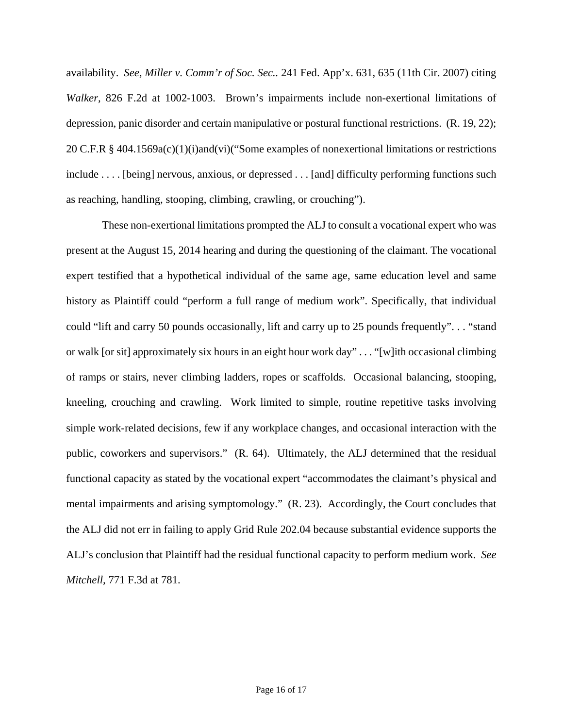availability. *See, Miller v. Comm'r of Soc. Sec..* 241 Fed. App'x. 631, 635 (11th Cir. 2007) citing *Walker,* 826 F.2d at 1002-1003. Brown's impairments include non-exertional limitations of depression, panic disorder and certain manipulative or postural functional restrictions. (R. 19, 22); 20 C.F.R § 404.1569a(c)(1)(i)and(vi)("Some examples of nonexertional limitations or restrictions include . . . . [being] nervous, anxious, or depressed . . . [and] difficulty performing functions such as reaching, handling, stooping, climbing, crawling, or crouching").

 These non-exertional limitations prompted the ALJ to consult a vocational expert who was present at the August 15, 2014 hearing and during the questioning of the claimant. The vocational expert testified that a hypothetical individual of the same age, same education level and same history as Plaintiff could "perform a full range of medium work". Specifically, that individual could "lift and carry 50 pounds occasionally, lift and carry up to 25 pounds frequently". . . "stand or walk [or sit] approximately six hours in an eight hour work day" . . . "[w]ith occasional climbing of ramps or stairs, never climbing ladders, ropes or scaffolds. Occasional balancing, stooping, kneeling, crouching and crawling. Work limited to simple, routine repetitive tasks involving simple work-related decisions, few if any workplace changes, and occasional interaction with the public, coworkers and supervisors." (R. 64). Ultimately, the ALJ determined that the residual functional capacity as stated by the vocational expert "accommodates the claimant's physical and mental impairments and arising symptomology." (R. 23). Accordingly, the Court concludes that the ALJ did not err in failing to apply Grid Rule 202.04 because substantial evidence supports the ALJ's conclusion that Plaintiff had the residual functional capacity to perform medium work. *See Mitchell,* 771 F.3d at 781.